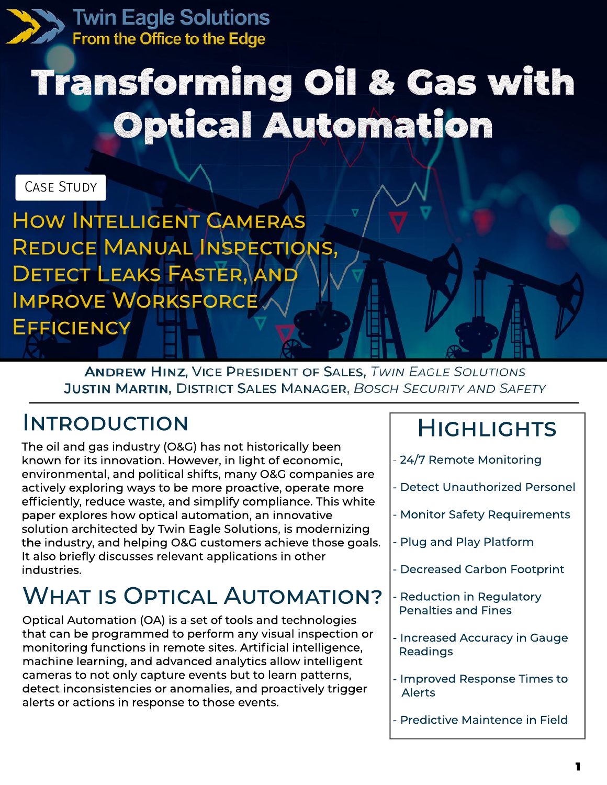

# Transforming Oil & Gas with OpticalAutomation

**CASE STUDY** 

HOW INTELLIGENT CAMERAS REDUCE MANUAL INSPECTIONS, DETECT LEAKS FASTER, AND IMPROVE WORKSFORCE **EFFICIENCY** 

> **ANDREW HINZ, VICE PRESIDENT OF SALES, TWIN EAGLE SOLUTIONS JUSTIN MARTIN, DISTRICT SALES MANAGER, BOSCH SECURITY AND SAFETY**

#### **INTRODUCTION**

The oil and gas industry (O&G) has not historically been known for its innovation. However, in light of economic, environmental, and political shifts, many O&G companies are actively exploring ways to be more proactive, operate more efficiently, reduce waste, and simplify compliance. This white paper explores how optical automation, an innovative solution architected by Twin Eagle Solutions, is modernizing the industry, and helping O&G customers achieve those goals. It also briefly discusses relevant applications in other industries.

# **WHAT IS OPTICAL AUTOMATION?**

Optical Automation (OA) is a set of tools and technologies that can be programmed to perform any visual inspection or monitoring functions in remote sites. Artificial intelligence, machine learning, and advanced analytics allow intelligent cameras to not only capture events but to learn patterns, detect inconsistencies or anomalies, and proactively trigger alerts or actions in response to those events.

#### **HIGHLIGHTS**

- 24/7 Remote Monitoring
- Detect Unauthorized Personel
- Monitor Safety Requirements
- Plug and Play Platform
- Decreased Carbon Footprint
- Reduction in Regulatory Penalties and Fines
- Increased Accuracy in Gauge Readings
- Improved Response Times to Alerts
- Predictive Maintence in Field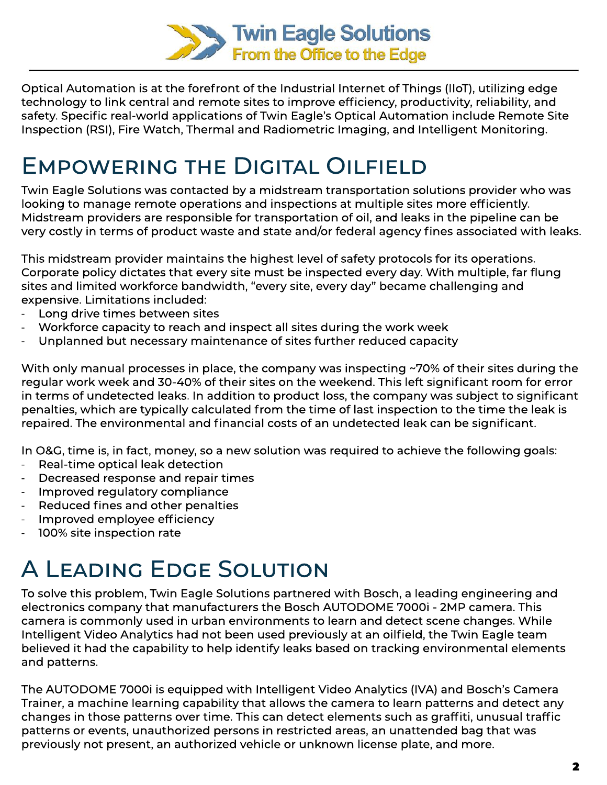

Optical Automation is at the forefront of the Industrial Internet of Things (IIoT), utilizing edge technology to link central and remote sites to improve efficiency, productivity, reliability, and safety. Specific real-world applications of Twin Eagle's Optical Automation include Remote Site Inspection (RSI), Fire Watch, Thermal and Radiometric Imaging, and Intelligent Monitoring.

## **EMPOWERING THE DIGITAL OILFIELD**

Twin Eagle Solutions was contacted by a midstream transportation solutions provider who was looking to manage remote operations and inspections at multiple sites more efficiently. Midstream providers are responsible for transportation of oil, and leaks in the pipeline can be very costly in terms of product waste and state and/or federal agency fines associated with leaks.

This midstream provider maintains the highest level of safety protocols for its operations. Corporate policy dictates that every site must be inspected every day. With multiple, far flung sites and limited workforce bandwidth, "every site, every day" became challenging and expensive. Limitations included:

- Long drive times between sites
- Workforce capacity to reach and inspect all sites during the work week
- Unplanned but necessary maintenance of sites further reduced capacity

With only manual processes in place, the company was inspecting  $~70\%$  of their sites during the regular work week and 30-40% of their sites on the weekend. This left significant room for error in terms of undetected leaks. In addition to product loss, the company was subject to significant penalties, which are typically calculated from the time of last inspection to the time the leak is repaired. The environmental and financial costs of an undetected leak can be significant.

In O&G, time is, in fact, money, so a new solution was required to achieve the following goals:

- Real-time optical leak detection
- Decreased response and repair times
- Improved regulatory compliance
- Reduced fines and other penalties
- Improved employee efficiency
- 100% site inspection rate

#### A LEADING EDGE SOLUTION

To solve this problem, Twin Eagle Solutions partnered with Bosch, a leading engineering and electronics company that manufacturers the Bosch AUTODOME 7000i - 2MP camera. This camera is commonly used in urban environments to learn and detect scene changes. While Intelligent Video Analytics had not been used previously at an oilfield, the Twin Eagle team believed it had the capability to help identify leaks based on tracking environmental elements and patterns.

The AUTODOME 7000i is equipped with Intelligent Video Analytics (IVA) and Bosch's Camera Trainer, a machine learning capability that allows the camera to learn patterns and detect any changes in those patterns over time. This can detect elements such as graffiti, unusual traffic patterns or events, unauthorized persons in restricted areas, an unattended bag that was previously not present, an authorized vehicle or unknown license plate, and more.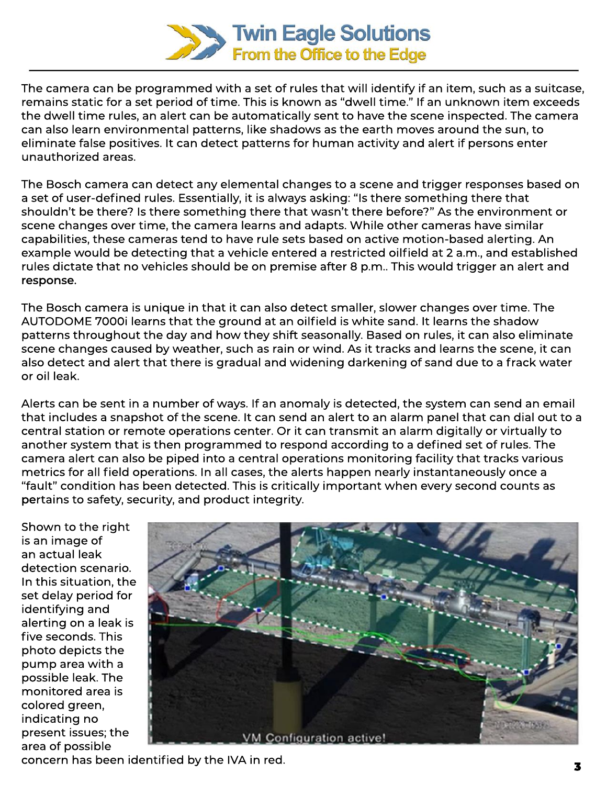

The camera can be programmed with a set of rules that will identify if an item, such as a suitcase, remains static for a set period of time. This is known as "dwell time." If an unknown item exceeds the dwell time rules, an alert can be automatically sent to have the scene inspected. The camera can also learn environmental patterns, like shadows as the earth moves around the sun, to eliminate false positives. It can detect patterns for human activity and alert if persons enter unauthorized areas.

The Bosch camera can detect any elemental changes to a scene and trigger responses based on a set of user-defined rules. Essentially, it is always asking: "Is there something there that shouldn't be there? Is there something there that wasn't there before?" As the environment or scene changes over time, the camera learns and adapts. While other cameras have similar capabilities, these cameras tend to have rule sets based on active motion-based alerting. An example would be detecting that a vehicle entered a restricted oilfield at 2 a.m., and established rules dictate that no vehicles should be on premise after 8 p.m.. This would trigger an alert and response.

The Bosch camera is unique in that it can also detect smaller, slower changes over time. The AUTODOME 7000i learns that the ground at an oilfield is white sand. It learns the shadow patterns throughout the day and how they shift seasonally. Based on rules, it can also eliminate scene changes caused by weather, such as rain or wind. As it tracks and learns the scene, it can also detect and alert that there is gradual and widening darkening of sand due to a frack water or oil leak.

Alerts can be sent in a number of ways. If an anomaly is detected, the system can send an email that includes a snapshot of the scene. It can send an alert to an alarm panel that can dial out to a central station or remote operations center. Or it can transmit an alarm digitally or virtually to another system that is then programmed to respond according to a defined set of rules. The camera alert can also be piped into a central operations monitoring facility that tracks various metrics for all field operations. In all cases, the alerts happen nearly instantaneously once a "fault" condition has been detected. This is critically important when every second counts as pertains to safety, security, and product integrity.

Shown to the right is an image of an actual leak detection scenario. In this situation, the set delay period for identifying and alerting on a leak is five seconds. This photo depicts the pump area with a possible leak. The monitored area is colored green, indicating no present issues; the area of possible



concern has been identified by the IVA in red.  $\overline{\mathbf{3}}$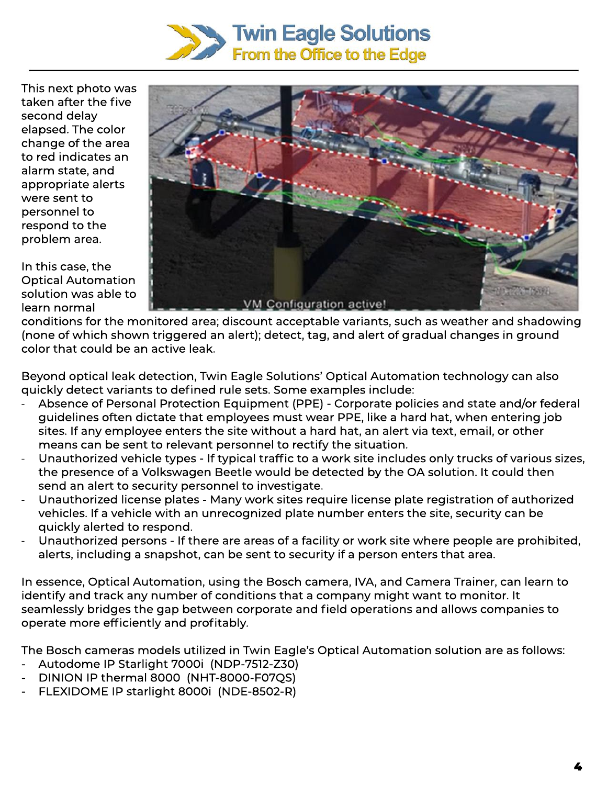

This next photo was taken after the five second delay elapsed. The color change of the area to red indicates an alarm state, and appropriate alerts were sent to personnel to respond to the problem area.

In this case, the **Optical Automation** solution was able to learn normal



conditions for the monitored area; discount acceptable variants, such as weather and shadowing (none of which shown triggered an alert); detect, tag, and alert of gradual changes in ground color that could be an active leak.

Beyond optical leak detection, Twin Eagle Solutions' Optical Automation technology can also quickly detect variants to defined rule sets. Some examples include:

- Absence of Personal Protection Equipment (PPE) Corporate policies and state and/or federal guidelines often dictate that employees must wear PPE, like a hard hat, when entering job sites. If any employee enters the site without a hard hat, an alert via text, email, or other means can be sent to relevant personnel to rectify the situation.
- Unauthorized vehicle types If typical traffic to a work site includes only trucks of various sizes, the presence of a Volkswagen Beetle would be detected by the OA solution. It could then send an alert to security personnel to investigate.
- Unauthorized license plates Many work sites require license plate registration of authorized vehicles. If a vehicle with an unrecognized plate number enters the site, security can be quickly alerted to respond.
- Unauthorized persons If there are areas of a facility or work site where people are prohibited, alerts, including a snapshot, can be sent to security if a person enters that area.

In essence, Optical Automation, using the Bosch camera, IVA, and Camera Trainer, can learn to identify and track any number of conditions that a company might want to monitor. It seamlessly bridges the gap between corporate and field operations and allows companies to operate more efficiently and profitably.

The Bosch cameras models utilized in Twin Eagle's Optical Automation solution are as follows:

- Autodome IP Starlight 7000i (NDP-7512-Z30)
- DINION IP thermal 8000 (NHT-8000-F07QS)
- FLEXIDOME IP starlight 8000i (NDE-8502-R)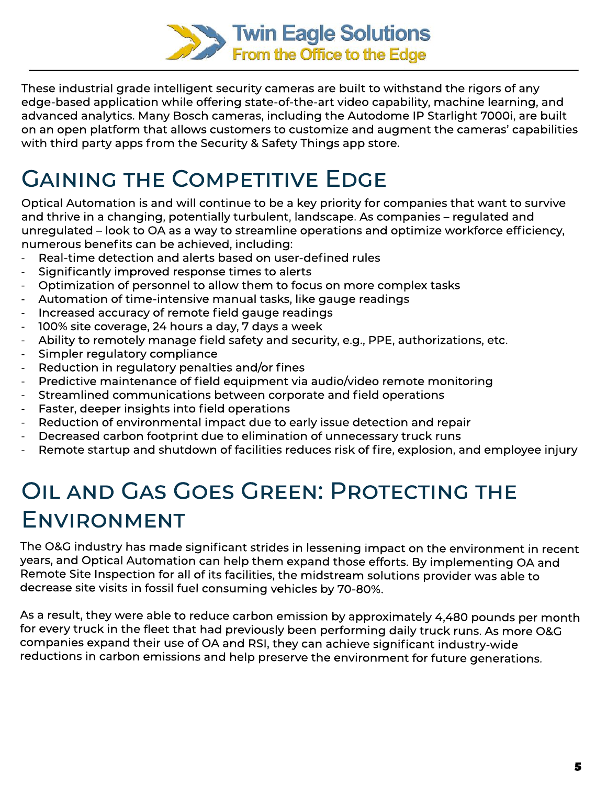

These industrial grade intelligent security cameras are built to withstand the rigors of any edge-based application while offering state-of-the-art video capability, machine learning, and advanced analytics. Many Bosch cameras, including the Autodome IP Starlight 7000i, are built on an open platform that allows customers to customize and augment the cameras' capabilities with third party apps from the Security & Safety Things app store.

# **GAINING THE COMPETITIVE EDGE**

Optical Automation is and will continue to be a key priority for companies that want to survive and thrive in a changing, potentially turbulent, landscape. As companies – regulated and unregulated – look to OA as a way to streamline operations and optimize workforce efficiency, numerous benefits can be achieved, including:

- Real-time detection and alerts based on user-defined rules
- Significantly improved response times to alerts
- Optimization of personnel to allow them to focus on more complex tasks
- Automation of time-intensive manual tasks, like gauge readings
- Increased accuracy of remote field gauge readings
- 100% site coverage, 24 hours a day, 7 days a week
- Ability to remotely manage field safety and security, e.g., PPE, authorizations, etc.
- Simpler regulatory compliance
- Reduction in regulatory penalties and/or fines
- Predictive maintenance of field equipment via audio/video remote monitoring
- Streamlined communications between corporate and field operations
- Faster, deeper insights into field operations
- Reduction of environmental impact due to early issue detection and repair
- Decreased carbon footprint due to elimination of unnecessary truck runs
- Remote startup and shutdown of facilities reduces risk of fire, explosion, and employee injury

## OIL AND GAS GOES GREEN: PROTECTING THE Environment

The O&G industry has made significant strides in lessening impact on the environment in recent years, and Optical Automation can help them expand those efforts. By implementing OA and Remote Site Inspection for all of its facilities, the midstream solutions provider was able to decrease site visits in fossil fuel consuming vehicles by 70-80%.

As a result, they were able to reduce carbon emission by approximately 4,480 pounds per month for every truck in the fleet that had previously been performing daily truck runs. As more O&G companies expand their use of OA and RSI, they can achieve significant industry-wide reductions in carbon emissions and help preserve the environment for future generations.